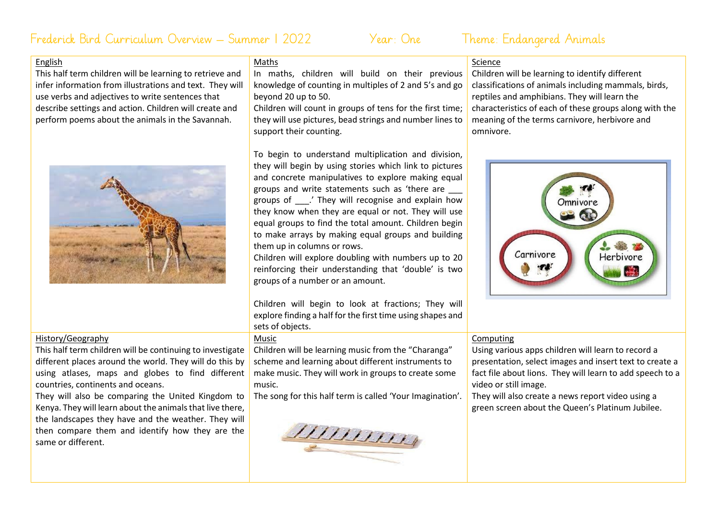# Frederick Bird Curriculum Overview – Summer 1 2022 Year: One Theme: Endangered Animals

## English

This half term children will be learning to retrieve and infer information from illustrations and text. They will use verbs and adjectives to write sentences that describe settings and action. Children will create and perform poems about the animals in the Savannah.



# Maths

In maths, children will build on their previous knowledge of counting in multiples of 2 and 5's and go beyond 20 up to 50.

Children will count in groups of tens for the first time; they will use pictures, bead strings and number lines to support their counting.

To begin to understand multiplication and division, they will begin by using stories which link to pictures and concrete manipulatives to explore making equal groups and write statements such as 'there are \_\_\_ groups of \_\_\_.' They will recognise and explain how they know when they are equal or not. They will use equal groups to find the total amount. Children begin to make arrays by making equal groups and building them up in columns or rows.

Children will explore doubling with numbers up to 20 reinforcing their understanding that 'double' is two groups of a number or an amount.

Children will begin to look at fractions; They will explore finding a half for the first time using shapes and sets of objects.

### Music

Children will be learning music from the "Charanga" scheme and learning about different instruments to make music. They will work in groups to create some music.

The song for this half term is called 'Your Imagination'.



# Science

Children will be learning to identify different classifications of animals including mammals, birds, reptiles and amphibians. They will learn the characteristics of each of these groups along with the meaning of the terms carnivore, herbivore and omnivore.



# Computing

Using various apps children will learn to record a presentation, select images and insert text to create a fact file about lions. They will learn to add speech to a video or still image.

They will also create a news report video using a green screen about the Queen's Platinum Jubilee.

# History/Geography

This half term children will be continuing to investigate different places around the world. They will do this by using atlases, maps and globes to find different countries, continents and oceans.

They will also be comparing the United Kingdom to Kenya. They will learn about the animals that live there, the landscapes they have and the weather. They will then compare them and identify how they are the same or different.